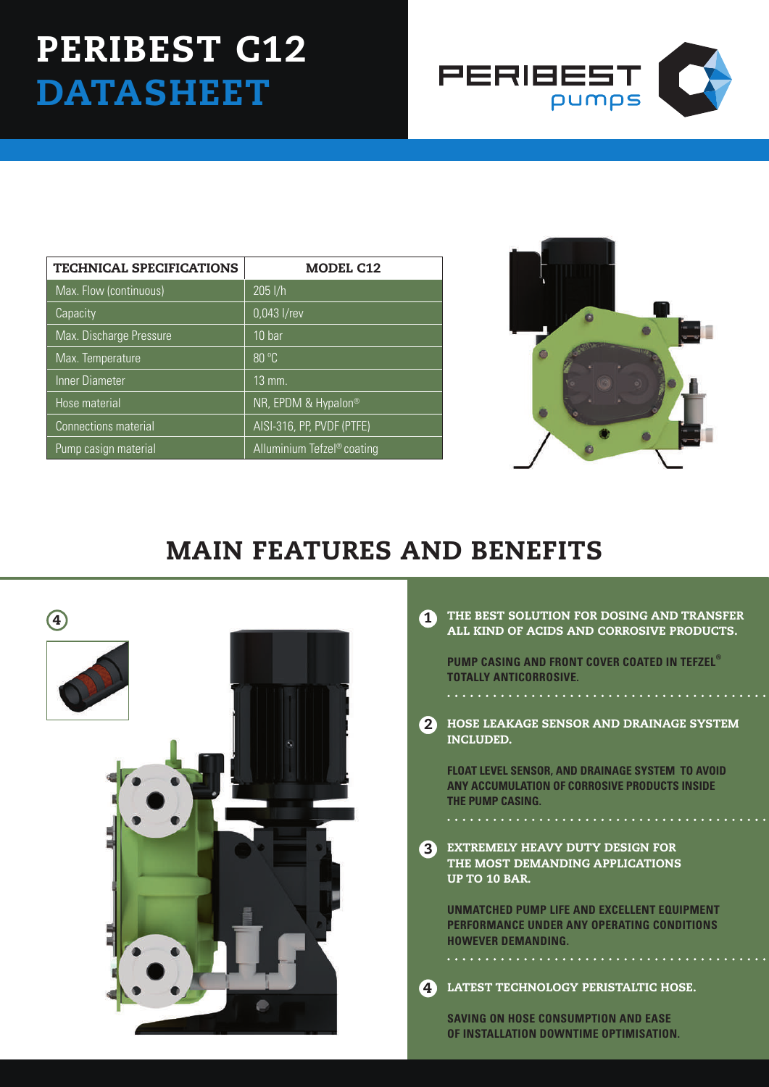## PERIBEST C12 **DATASHEET**



| <b>TECHNICAL SPECIFICATIONS</b> | <b>MODEL C12</b>           |  |  |  |  |  |  |
|---------------------------------|----------------------------|--|--|--|--|--|--|
| Max. Flow (continuous)          | $205$ $I/h$                |  |  |  |  |  |  |
| Capacity                        | $0,043$ l/rev              |  |  |  |  |  |  |
| Max. Discharge Pressure         | 10 <sub>bar</sub>          |  |  |  |  |  |  |
| Max. Temperature                | 80 °C                      |  |  |  |  |  |  |
| Inner Diameter                  | $13 \,\mathrm{mm}$ .       |  |  |  |  |  |  |
| Hose material                   | NR, EPDM & Hypalon®        |  |  |  |  |  |  |
| <b>Connections material</b>     | AISI-316, PP, PVDF (PTFE)  |  |  |  |  |  |  |
| Pump casign material            | Alluminium Tefzel® coating |  |  |  |  |  |  |



## MAIN FEATURES AND BENEFITS



|  | THE BEST SOLUTION FOR DOSING AND TRANSFER |  |  |
|--|-------------------------------------------|--|--|
|  | ALL KIND OF ACIDS AND CORROSIVE PRODUCTS. |  |  |

**PUMP CASING AND FRONT COVER COATED IN TEFZEL® TOTALLY ANTICORROSIVE.**

HOSE LEAKAGE SENSOR AND DRAINAGE SYSTEM INCLUDED. 2

**float level sensor, and drainage system to avoid any accumulation of corrosive products inside the pump casing.**

**3** EXTREMELY HEAVY DUTY DESIGN F THE MOST DEMANDING APPLICATIONS UP TO 10 BAR.

. . . . . . . . . . . . . . . .

**UNMATCHED PUMP LIFE AND EXCELLENT EQUIPMENT PERFORMANCE UNDER ANY OPERATING CONDITIONS HOWEVER DEMANDING.**

LATEST TECHNOLOGY PERISTALTIC HOSE. 4

**SAVING ON HOSE CONSUMPTION AND EASE OF INSTALLATION DOWNTIME OPTIMISATION.**